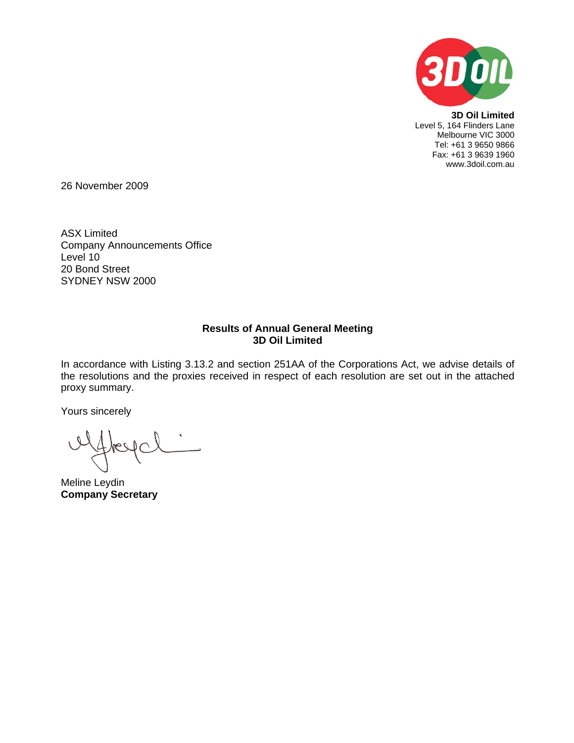

**3D Oil Limited**  Level 5, 164 Flinders Lane Melbourne VIC 3000 Tel: +61 3 9650 9866 Fax: +61 3 9639 1960 www.3doil.com.au

26 November 2009

ASX Limited Company Announcements Office Level 10 20 Bond Street SYDNEY NSW 2000

#### **Results of Annual General Meeting 3D Oil Limited**

In accordance with Listing 3.13.2 and section 251AA of the Corporations Act, we advise details of the resolutions and the proxies received in respect of each resolution are set out in the attached proxy summary.

Yours sincerely

Meline Leydin **Company Secretary**